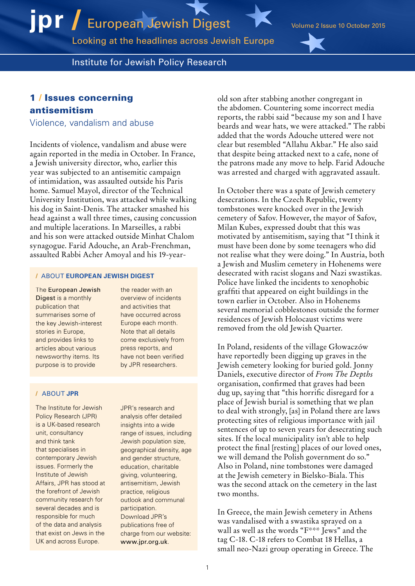Looking at the headlines across Jewish Europe

Institute for Jewish Policy Research

# 1 / Issues concerning antisemitism

Violence, vandalism and abuse

Incidents of violence, vandalism and abuse were again reported in the media in October. In France, a Jewish university director, who, earlier this year was subjected to an antisemitic campaign of intimidation, was assaulted outside his Paris home. Samuel Mayol, director of the Technical University Institution, was attacked while walking his dog in Saint-Denis. The attacker smashed his head against a wall three times, causing concussion and multiple lacerations. In Marseilles, a rabbi and his son were attacked outside Minhat Chalom synagogue. Farid Adouche, an Arab-Frenchman, assaulted Rabbi Acher Amoyal and his 19-year-

### / ABOUT **EUROPEAN JEWISH DIGEST**

The European Jewish Digest is a monthly publication that summarises some of the key Jewish-interest stories in Europe, and provides links to articles about various newsworthy items. Its purpose is to provide

the reader with an overview of incidents and activities that have occurred across Europe each month. Note that all details come exclusively from press reports, and have not been verified by JPR researchers.

### / ABOUT **JPR**

The Institute for Jewish Policy Research (JPR) is a UK-based research unit, consultancy and think tank that specialises in contemporary Jewish issues. Formerly the Institute of Jewish Affairs, JPR has stood at the forefront of Jewish community research for several decades and is responsible for much of the data and analysis that exist on Jews in the UK and across Europe.

JPR's research and analysis offer detailed insights into a wide range of issues, including Jewish population size, geographical density, age and gender structure, education, charitable giving, volunteering, antisemitism, Jewish practice, religious outlook and communal participation. Download JPR's publications free of charge from our website: [www.jpr.org.uk](http://www.jpr.org.uk).

old son after stabbing another congregant in the abdomen. Countering some incorrect media reports, the rabbi said "because my son and I have beards and wear hats, we were attacked." The rabbi added that the words Adouche uttered were not clear but resembled "Allahu Akbar." He also said that despite being attacked next to a cafe, none of the patrons made any move to help. Farid Adouche was arrested and charged with aggravated assault.

In October there was a spate of Jewish cemetery desecrations. In the Czech Republic, twenty tombstones were knocked over in the Jewish cemetery of Safov. However, the mayor of Safov, Milan Kubes, expressed doubt that this was motivated by antisemitism, saying that "I think it must have been done by some teenagers who did not realise what they were doing." In Austria, both a Jewish and Muslim cemetery in Hohenems were desecrated with racist slogans and Nazi swastikas. Police have linked the incidents to xenophobic graffiti that appeared on eight buildings in the town earlier in October. Also in Hohenems several memorial cobblestones outside the former residences of Jewish Holocaust victims were removed from the old Jewish Quarter.

In Poland, residents of the village Głowaczów have reportedly been digging up graves in the Jewish cemetery looking for buried gold. Jonny Daniels, executive director of *From The Depths* organisation, confirmed that graves had been dug up, saying that "this horrific disregard for a place of Jewish burial is something that we plan to deal with strongly, [as] in Poland there are laws protecting sites of religious importance with jail sentences of up to seven years for desecrating such sites. If the local municipality isn't able to help protect the final [resting] places of our loved ones, we will demand the Polish government do so." Also in Poland, nine tombstones were damaged at the Jewish cemetery in Bielsko-Biala. This was the second attack on the cemetery in the last two months.

In Greece, the main Jewish cemetery in Athens was vandalised with a swastika sprayed on a wall as well as the words "F\*\*\* Jews" and the tag C-18. C-18 refers to Combat 18 Hellas, a small neo-Nazi group operating in Greece. The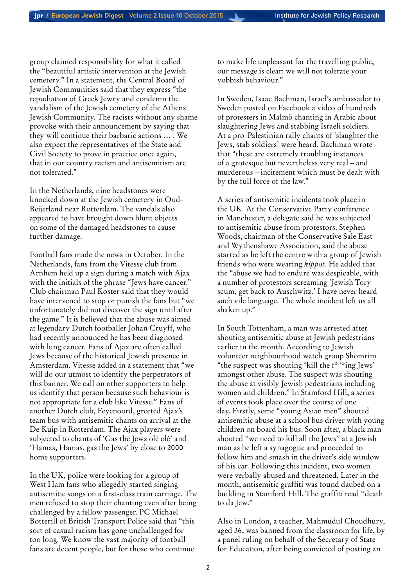group claimed responsibility for what it called the "beautiful artistic intervention at the Jewish cemetery." In a statement, the Central Board of Jewish Communities said that they express "the repudiation of Greek Jewry and condemn the vandalism of the Jewish cemetery of the Athens Jewish Community. The racists without any shame provoke with their announcement by saying that they will continue their barbaric actions … . We also expect the representatives of the State and Civil Society to prove in practice once again, that in our country racism and antisemitism are not tolerated."

In the Netherlands, nine headstones were knocked down at the Jewish cemetery in Oud-Beijerland near Rotterdam. The vandals also appeared to have brought down blunt objects on some of the damaged headstones to cause further damage.

Football fans made the news in October. In the Netherlands, fans from the Vitesse club from Arnhem held up a sign during a match with Ajax with the initials of the phrase "Jews have cancer." Club chairman Paul Koster said that they would have intervened to stop or punish the fans but "we unfortunately did not discover the sign until after the game." It is believed that the abuse was aimed at legendary Dutch footballer Johan Cruyff, who had recently announced he has been diagnosed with lung cancer. Fans of Ajax are often called Jews because of the historical Jewish presence in Amsterdam. Vitesse added in a statement that "we will do our utmost to identify the perpetrators of this banner. We call on other supporters to help us identify that person because such behaviour is not appropriate for a club like Vitesse." Fans of another Dutch club, Feyenoord, greeted Ajax's team bus with antisemitic chants on arrival at the De Kuip in Rotterdam. The Ajax players were subjected to chants of 'Gas the Jews olé olé' and 'Hamas, Hamas, gas the Jews' by close to 2000 home supporters.

In the UK, police were looking for a group of West Ham fans who allegedly started singing antisemitic songs on a first-class train carriage. The men refused to stop their chanting even after being challenged by a fellow passenger. PC Michael Botterill of British Transport Police said that "this sort of casual racism has gone unchallenged for too long. We know the vast majority of football fans are decent people, but for those who continue

to make life unpleasant for the travelling public, our message is clear: we will not tolerate your yobbish behaviour."

In Sweden, Isaac Bachman, Israel's ambassador to Sweden posted on Facebook a video of hundreds of protesters in Malmö chanting in Arabic about slaughtering Jews and stabbing Israeli soldiers. At a pro-Palestinian rally chants of 'slaughter the Jews, stab soldiers' were heard. Bachman wrote that "these are extremely troubling instances of a grotesque but nevertheless very real – and murderous – incitement which must be dealt with by the full force of the law."

A series of antisemitic incidents took place in the UK. At the Conservative Party conference in Manchester, a delegate said he was subjected to antisemitic abuse from protestors. Stephen Woods, chairman of the Conservative Sale East and Wythenshawe Association, said the abuse started as he left the centre with a group of Jewish friends who were wearing *kippot*. He added that the "abuse we had to endure was despicable, with a number of protestors screaming 'Jewish Tory scum, get back to Auschwitz.' I have never heard such vile language. The whole incident left us all shaken up."

In South Tottenham, a man was arrested after shouting antisemitic abuse at Jewish pedestrians earlier in the month. According to Jewish volunteer neighbourhood watch group Shomrim "the suspect was shouting 'kill the f\*\*\*ing Jews' amongst other abuse. The suspect was shouting the abuse at visibly Jewish pedestrians including women and children." In Stamford Hill, a series of events took place over the course of one day. Firstly, some "young Asian men" shouted antisemitic abuse at a school bus driver with young children on board his bus. Soon after, a black man shouted "we need to kill all the Jews" at a Jewish man as he left a synagogue and proceeded to follow him and smash in the driver's side window of his car. Following this incident, two women were verbally abused and threatened. Later in the month, antisemitic graffiti was found daubed on a building in Stamford Hill. The graffiti read "death to da Jew."

Also in London, a teacher, Mahmudul Choudhury, aged 36, was banned from the classroom for life, by a panel ruling on behalf of the Secretary of State for Education, after being convicted of posting an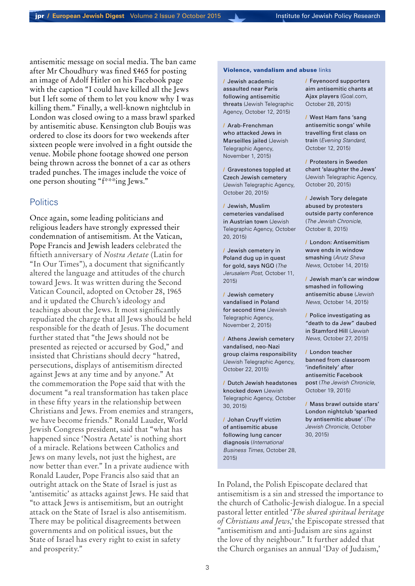antisemitic message on social media. The ban came after Mr Choudhury was fined £465 for posting an image of Adolf Hitler on his Facebook page with the caption "I could have killed all the Jews but I left some of them to let you know why I was killing them." Finally, a well-known nightclub in London was closed owing to a mass brawl sparked by antisemitic abuse. Kensington club Boujis was ordered to close its doors for two weekends after sixteen people were involved in a fight outside the venue. Mobile phone footage showed one person being thrown across the bonnet of a car as others traded punches. The images include the voice of one person shouting "f\*\*\*ing Jews."

## **Politics**

Once again, some leading politicians and religious leaders have strongly expressed their condemnation of antisemitism. At the Vatican, Pope Francis and Jewish leaders celebrated the fiftieth anniversary of *Nostra Aetate* (Latin for "In Our Times"), a document that significantly altered the language and attitudes of the church toward Jews. It was written during the Second Vatican Council, adopted on October 28, 1965 and it updated the Church's ideology and teachings about the Jews. It most significantly repudiated the charge that all Jews should be held responsible for the death of Jesus. The document further stated that "the Jews should not be presented as rejected or accursed by God," and insisted that Christians should decry "hatred, persecutions, displays of antisemitism directed against Jews at any time and by anyone." At the commemoration the Pope said that with the document "a real transformation has taken place in these fifty years in the relationship between Christians and Jews. From enemies and strangers, we have become friends." Ronald Lauder, World Jewish Congress president, said that "what has happened since 'Nostra Aetate' is nothing short of a miracle. Relations between Catholics and Jews on many levels, not just the highest, are now better than ever." In a private audience with Ronald Lauder, Pope Francis also said that an outright attack on the State of Israel is just as 'antisemitic' as attacks against Jews. He said that "to attack Jews is antisemitism, but an outright attack on the State of Israel is also antisemitism. There may be political disagreements between governments and on political issues, but the State of Israel has every right to exist in safety and prosperity."

### Violence, vandalism and abuse links

/ [Jewish academic](http://www.jta.org/2015/10/12/news-opinion/world/jewish-academic-assaulted-near-paris-following-anti-semitic-threats)  [assaulted near Paris](http://www.jta.org/2015/10/12/news-opinion/world/jewish-academic-assaulted-near-paris-following-anti-semitic-threats)  [following antisemitic](http://www.jta.org/2015/10/12/news-opinion/world/jewish-academic-assaulted-near-paris-following-anti-semitic-threats)  [threats](http://www.jta.org/2015/10/12/news-opinion/world/jewish-academic-assaulted-near-paris-following-anti-semitic-threats) (Jewish Telegraphic Agency, October 12, 2015[\)](http://www.jta.org/2015/11/01/news-opinion/world/arab-frenchman-who-attacked-jews-in-marseille-jailed)

/ [Arab-Frenchman](http://www.jta.org/2015/11/01/news-opinion/world/arab-frenchman-who-attacked-jews-in-marseille-jailed)  [who attacked Jews in](http://www.jta.org/2015/11/01/news-opinion/world/arab-frenchman-who-attacked-jews-in-marseille-jailed)  [Marseilles jailed](http://www.jta.org/2015/11/01/news-opinion/world/arab-frenchman-who-attacked-jews-in-marseille-jailed) (Jewish Telegraphic Agency, November 1, 2015)

/ [Gravestones toppled at](http://www.jta.org/2015/10/20/news-opinion/world/gravestones-toppled-at-czech-jewish-cemetery)  [Czech Jewish cemetery](http://www.jta.org/2015/10/20/news-opinion/world/gravestones-toppled-at-czech-jewish-cemetery)  (Jewish Telegraphic Agency, October 20, 2015)

/ [Jewish, Muslim](http://www.jta.org/2015/10/20/news-opinion/world/jewish-muslim-cemeteries-vandalized-in-austrian-town)  [cemeteries vandalised](http://www.jta.org/2015/10/20/news-opinion/world/jewish-muslim-cemeteries-vandalized-in-austrian-town)  [in Austrian town](http://www.jta.org/2015/10/20/news-opinion/world/jewish-muslim-cemeteries-vandalized-in-austrian-town) (Jewish Telegraphic Agency, October 20, 2015)

/ [Jewish cemetery in](http://www.jpost.com/Diaspora/Jewish-cemetery-in-Poland-dug-up-in-quest-for-gold-says-NGO-422607)  [Poland dug up in quest](http://www.jpost.com/Diaspora/Jewish-cemetery-in-Poland-dug-up-in-quest-for-gold-says-NGO-422607)  [for gold, says NGO](http://www.jpost.com/Diaspora/Jewish-cemetery-in-Poland-dug-up-in-quest-for-gold-says-NGO-422607) (*The Jerusalem Post*, October 11, 2015)

/ [Jewish cemetery](http://www.jta.org/2015/11/02/news-opinion/world/jewish-cemetery-vandalized-in-poland-for-2nd-time)  [vandalised in Poland](http://www.jta.org/2015/11/02/news-opinion/world/jewish-cemetery-vandalized-in-poland-for-2nd-time)  [for second time](http://www.jta.org/2015/11/02/news-opinion/world/jewish-cemetery-vandalized-in-poland-for-2nd-time) (Jewish Telegraphic Agency, November 2, 2015)

/ [Athens Jewish cemetery](http://www.jta.org/2015/10/22/news-opinion/world/athens-jewish-cemetery-vandalized-neo-nazi-group-claims-responsibility)  [vandalised, neo-Nazi](http://www.jta.org/2015/10/22/news-opinion/world/athens-jewish-cemetery-vandalized-neo-nazi-group-claims-responsibility)  [group claims responsibility](http://www.jta.org/2015/10/22/news-opinion/world/athens-jewish-cemetery-vandalized-neo-nazi-group-claims-responsibility) (Jewish Telegraphic Agency, October 22, 2015)

/ [Dutch Jewish headstones](http://www.jta.org/2015/10/30/news-opinion/world/dutch-jewish-headstones-knocked-down-hit-with-blunt-object) [knocked down](http://www.jta.org/2015/10/30/news-opinion/world/dutch-jewish-headstones-knocked-down-hit-with-blunt-object) (Jewish Telegraphic Agency, October 30, 2015)

/ [Johan Cruyff victim](http://www.ibtimes.co.uk/johan-cruyff-victim-anti-semitic-abuse-following-lung-cancer-diagnosis-1526169)  [of antisemitic abuse](http://www.ibtimes.co.uk/johan-cruyff-victim-anti-semitic-abuse-following-lung-cancer-diagnosis-1526169)  [following lung cancer](http://www.ibtimes.co.uk/johan-cruyff-victim-anti-semitic-abuse-following-lung-cancer-diagnosis-1526169)  [diagnosis](http://www.ibtimes.co.uk/johan-cruyff-victim-anti-semitic-abuse-following-lung-cancer-diagnosis-1526169) (*International Business Times*, October 28, 2015)

/ [Feyenoord supporters](http://www.goal.com/en-gb/news/14382/eredivisie/2015/10/28/16771302/feyenoord-supporters-aim-anti-semitic-chants-at-ajax-players)  [aim antisemitic chants at](http://www.goal.com/en-gb/news/14382/eredivisie/2015/10/28/16771302/feyenoord-supporters-aim-anti-semitic-chants-at-ajax-players)  [Ajax players](http://www.goal.com/en-gb/news/14382/eredivisie/2015/10/28/16771302/feyenoord-supporters-aim-anti-semitic-chants-at-ajax-players) (Goal.com, October 28, 2015)

/ [West Ham fans 'sang](http://www.standard.co.uk/news/crime/west-ham-fans-sang-antisemitic-songs-while-travelling-first-class-on-train-a3088271.html)  [antisemitic songs' while](http://www.standard.co.uk/news/crime/west-ham-fans-sang-antisemitic-songs-while-travelling-first-class-on-train-a3088271.html)  [travelling first class on](http://www.standard.co.uk/news/crime/west-ham-fans-sang-antisemitic-songs-while-travelling-first-class-on-train-a3088271.html)  [train](http://www.standard.co.uk/news/crime/west-ham-fans-sang-antisemitic-songs-while-travelling-first-class-on-train-a3088271.html) (*Evening Standard*, October 12, 2015)

/ [Protesters in Sweden](http://www.jta.org/2015/10/20/news-opinion/world/protesters-in-sweden-chant-slaughter-the-jews)  [chant 'slaughter the Jews'](http://www.jta.org/2015/10/20/news-opinion/world/protesters-in-sweden-chant-slaughter-the-jews) (Jewish Telegraphic Agency, October 20, 2015)

/ [Jewish Tory delegate](http://www.thejc.com/news/uk-news/146841/jewish-tory-delegate-abused-protesters-outside-party-conference)  [abused by protesters](http://www.thejc.com/news/uk-news/146841/jewish-tory-delegate-abused-protesters-outside-party-conference)  [outside party conference](http://www.thejc.com/news/uk-news/146841/jewish-tory-delegate-abused-protesters-outside-party-conference) (*The Jewish Chronicle*, October 8, 2015)

/ [London: Antisemitism](http://www.israelnationalnews.com/News/News.aspx/201873)  [wave ends in window](http://www.israelnationalnews.com/News/News.aspx/201873)  [smashing](http://www.israelnationalnews.com/News/News.aspx/201873) (*Arutz Sheva News*, October 14, 2015)

/ [Jewish man's car window](http://www.jewishnews.co.uk/jewish-mans-car-window-smashed-in-following-anti-semitic-abuse/) [smashed in following](http://www.jewishnews.co.uk/jewish-mans-car-window-smashed-in-following-anti-semitic-abuse/)  [antisemitic abuse](http://www.jewishnews.co.uk/jewish-mans-car-window-smashed-in-following-anti-semitic-abuse/) (*Jewish News*, October 14, 2015)

/ [Police investigating as](http://www.jewishnews.co.uk/police-investigating-as-death-to-da-jews-daubed-in-stamford-hill/)  ["death to da Jew" daubed](http://www.jewishnews.co.uk/police-investigating-as-death-to-da-jews-daubed-in-stamford-hill/)  [in Stamford Hill](http://www.jewishnews.co.uk/police-investigating-as-death-to-da-jews-daubed-in-stamford-hill/) (*Jewish News*, October 27, 2015)

/ [London teacher](http://www.thejc.com/news/uk-news/147641/london-teacher-banned-classroom-indefinitely%E2%80%99-after-antisemitic-facebook-post)  [banned from classroom](http://www.thejc.com/news/uk-news/147641/london-teacher-banned-classroom-indefinitely%E2%80%99-after-antisemitic-facebook-post)  ['indefinitely' after](http://www.thejc.com/news/uk-news/147641/london-teacher-banned-classroom-indefinitely%E2%80%99-after-antisemitic-facebook-post)  [antisemitic Facebook](http://www.thejc.com/news/uk-news/147641/london-teacher-banned-classroom-indefinitely%E2%80%99-after-antisemitic-facebook-post)  [post](http://www.thejc.com/news/uk-news/147641/london-teacher-banned-classroom-indefinitely%E2%80%99-after-antisemitic-facebook-post) (*The Jewish Chronicle*, October 19, 2015)

/ [Mass brawl outside stars'](http://www.thejc.com/news/uk-news/148518/mass-brawl-outside-stars-london-nightclub-sparked-antisemitic-abuse) [London nightclub 'sparked](http://www.thejc.com/news/uk-news/148518/mass-brawl-outside-stars-london-nightclub-sparked-antisemitic-abuse)  [by antisemitic abuse'](http://www.thejc.com/news/uk-news/148518/mass-brawl-outside-stars-london-nightclub-sparked-antisemitic-abuse) (*The Jewish Chronicle*, October 30, 2015)

In Poland, the Polish Episcopate declared that antisemitism is a sin and stressed the importance to the church of Catholic-Jewish dialogue. In a special pastoral letter entitled '*The shared spiritual heritage of Christians and Jews*,*'* the Episcopate stressed that "antisemitism and anti-Judaism are sins against the love of thy neighbour." It further added that the Church organises an annual 'Day of Judaism,'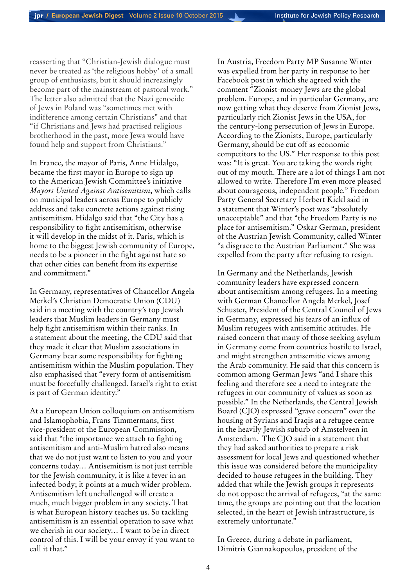reasserting that "Christian-Jewish dialogue must never be treated as 'the religious hobby' of a small group of enthusiasts, but it should increasingly become part of the mainstream of pastoral work." The letter also admitted that the Nazi genocide of Jews in Poland was "sometimes met with indifference among certain Christians" and that "if Christians and Jews had practised religious brotherhood in the past, more Jews would have found help and support from Christians."

In France, the mayor of Paris, Anne Hidalgo, became the first mayor in Europe to sign up to the American Jewish Committee's initiative *Mayors United Against Antisemitism*, which calls on municipal leaders across Europe to publicly address and take concrete actions against rising antisemitism. Hidalgo said that "the City has a responsibility to fight antisemitism, otherwise it will develop in the midst of it. Paris, which is home to the biggest Jewish community of Europe, needs to be a pioneer in the fight against hate so that other cities can benefit from its expertise and commitment."

In Germany, representatives of Chancellor Angela Merkel's Christian Democratic Union (CDU) said in a meeting with the country's top Jewish leaders that Muslim leaders in Germany must help fight antisemitism within their ranks. In a statement about the meeting, the CDU said that they made it clear that Muslim associations in Germany bear some responsibility for fighting antisemitism within the Muslim population. They also emphasised that "every form of antisemitism must be forcefully challenged. Israel's right to exist is part of German identity."

At a European Union colloquium on antisemitism and Islamophobia, Frans Timmermans, first vice-president of the European Commission, said that "the importance we attach to fighting antisemitism and anti-Muslim hatred also means that we do not just want to listen to you and your concerns today… Antisemitism is not just terrible for the Jewish community, it is like a fever in an infected body; it points at a much wider problem. Antisemitism left unchallenged will create a much, much bigger problem in any society. That is what European history teaches us. So tackling antisemitism is an essential operation to save what we cherish in our society… I want to be in direct control of this. I will be your envoy if you want to call it that."

In Austria, Freedom Party MP Susanne Winter was expelled from her party in response to her Facebook post in which she agreed with the comment "Zionist-money Jews are the global problem. Europe, and in particular Germany, are now getting what they deserve from Zionist Jews, particularly rich Zionist Jews in the USA, for the century-long persecution of Jews in Europe. According to the Zionists, Europe, particularly Germany, should be cut off as economic competitors to the US." Her response to this post was: "It is great. You are taking the words right out of my mouth. There are a lot of things I am not allowed to write. Therefore I'm even more pleased about courageous, independent people." Freedom Party General Secretary Herbert Kickl said in a statement that Winter's post was "absolutely unacceptable" and that "the Freedom Party is no place for antisemitism." Oskar German, president of the Austrian Jewish Community, called Winter "a disgrace to the Austrian Parliament." She was expelled from the party after refusing to resign.

In Germany and the Netherlands, Jewish community leaders have expressed concern about antisemitism among refugees. In a meeting with German Chancellor Angela Merkel, Josef Schuster, President of the Central Council of Jews in Germany, expressed his fears of an influx of Muslim refugees with antisemitic attitudes. He raised concern that many of those seeking asylum in Germany come from countries hostile to Israel, and might strengthen antisemitic views among the Arab community. He said that this concern is common among German Jews "and I share this feeling and therefore see a need to integrate the refugees in our community of values as soon as possible." In the Netherlands, the Central Jewish Board (CJO) expressed "grave concern" over the housing of Syrians and Iraqis at a refugee centre in the heavily Jewish suburb of Amstelveen in Amsterdam. The CJO said in a statement that they had asked authorities to prepare a risk assessment for local Jews and questioned whether this issue was considered before the municipality decided to house refugees in the building. They added that while the Jewish groups it represents do not oppose the arrival of refugees, "at the same time, the groups are pointing out that the location selected, in the heart of Jewish infrastructure, is extremely unfortunate."

In Greece, during a debate in parliament, Dimitris Giannakopoulos, president of the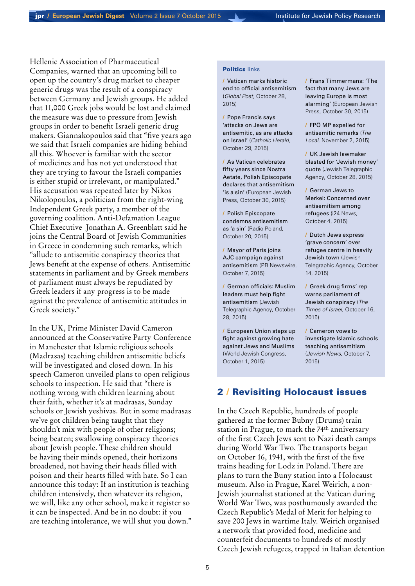Hellenic Association of Pharmaceutical Companies, warned that an upcoming bill to open up the country's drug market to cheaper generic drugs was the result of a conspiracy between Germany and Jewish groups. He added that 11,000 Greek jobs would be lost and claimed the measure was due to pressure from Jewish groups in order to benefit Israeli generic drug makers. Giannakopoulos said that "five years ago we said that Israeli companies are hiding behind all this. Whoever is familiar with the sector of medicines and has not yet understood that they are trying to favour the Israeli companies is either stupid or irrelevant, or manipulated." His accusation was repeated later by Nikos Nikolopoulos, a politician from the right-wing Independent Greek party, a member of the governing coalition. Anti-Defamation League Chief Executive Jonathan A. Greenblatt said he joins the Central Board of Jewish Communities in Greece in condemning such remarks, which "allude to antisemitic conspiracy theories that Jews benefit at the expense of others. Antisemitic statements in parliament and by Greek members of parliament must always be repudiated by Greek leaders if any progress is to be made against the prevalence of antisemitic attitudes in Greek society."

In the UK, Prime Minister David Cameron announced at the Conservative Party Conference in Manchester that Islamic religious schools (Madrasas) teaching children antisemitic beliefs will be investigated and closed down. In his speech Cameron unveiled plans to open religious schools to inspection. He said that "there is nothing wrong with children learning about their faith, whether it's at madrasas, Sunday schools or Jewish yeshivas. But in some madrasas we've got children being taught that they shouldn't mix with people of other religions; being beaten; swallowing conspiracy theories about Jewish people. These children should be having their minds opened, their horizons broadened, not having their heads filled with poison and their hearts filled with hate. So I can announce this today: If an institution is teaching children intensively, then whatever its religion, we will, like any other school, make it register so it can be inspected. And be in no doubt: if you are teaching intolerance, we will shut you down."

### Politics links

/ [Vatican marks historic](http://www.globalpost.com/article/6676666/2015/10/28/church-marks-historic-crackdown-religious-hate)  [end to official antisemitism](http://www.globalpost.com/article/6676666/2015/10/28/church-marks-historic-crackdown-religious-hate) (*Global Post*, October 28, 2015)

/ [Pope Francis says](http://www.catholicherald.co.uk/news/2015/10/29/pope-francis-says-attacks-on-jews-are-anti-semitic-as-are-attacks-on-israel/)  ['attacks on Jews are](http://www.catholicherald.co.uk/news/2015/10/29/pope-francis-says-attacks-on-jews-are-anti-semitic-as-are-attacks-on-israel/)  [antisemitic, as are attacks](http://www.catholicherald.co.uk/news/2015/10/29/pope-francis-says-attacks-on-jews-are-anti-semitic-as-are-attacks-on-israel/)  [on Israel'](http://www.catholicherald.co.uk/news/2015/10/29/pope-francis-says-attacks-on-jews-are-anti-semitic-as-are-attacks-on-israel/) (*Catholic Herald*, October 29, 2015)

/ [As Vatican celebrates](http://ejpress.org/index.php?option=com_content&view=article&id=54516&Itemid=7)  [fifty years since Nostra](http://ejpress.org/index.php?option=com_content&view=article&id=54516&Itemid=7)  [Aetate, Polish Episcopate](http://ejpress.org/index.php?option=com_content&view=article&id=54516&Itemid=7)  [declares that antisemitism](http://ejpress.org/index.php?option=com_content&view=article&id=54516&Itemid=7)  ['is a sin'](http://ejpress.org/index.php?option=com_content&view=article&id=54516&Itemid=7) (European Jewish Press, October 30, 2015)

/ [Polish Episcopate](http://www.thenews.pl/1/9/Artykul/225535,Polish-Episcopate-condemns-antisemitism-as-a-sin-)  [condemns antisemitism](http://www.thenews.pl/1/9/Artykul/225535,Polish-Episcopate-condemns-antisemitism-as-a-sin-)  [as 'a sin'](http://www.thenews.pl/1/9/Artykul/225535,Polish-Episcopate-condemns-antisemitism-as-a-sin-) (Radio Poland, October 20, 2015)

/ [Mayor of Paris joins](http://www.prnewswire.com/news-releases/mayor-of-paris-joins-ajc-campaign-against-anti-semitism-300155746.html)  [AJC campaign against](http://www.prnewswire.com/news-releases/mayor-of-paris-joins-ajc-campaign-against-anti-semitism-300155746.html)  [antisemitism](http://www.prnewswire.com/news-releases/mayor-of-paris-joins-ajc-campaign-against-anti-semitism-300155746.html) (PR Newswire, October 7, 2015)

/ [German officials: Muslim](http://www.jta.org/2015/10/28/news-opinion/world/german-officials-muslim-leaders-must-help-fight-anti-semitism)  [leaders must help fight](http://www.jta.org/2015/10/28/news-opinion/world/german-officials-muslim-leaders-must-help-fight-anti-semitism)  [antisemitism](http://www.jta.org/2015/10/28/news-opinion/world/german-officials-muslim-leaders-must-help-fight-anti-semitism) (Jewish Telegraphic Agency, October 28, 2015)

/ [European Union steps up](http://www.worldjewishcongress.org/en/news/european-union-steps-up-fight-against-growing-hate-against-jews-and-muslims-10-5-2015)  [fight against growing hate](http://www.worldjewishcongress.org/en/news/european-union-steps-up-fight-against-growing-hate-against-jews-and-muslims-10-5-2015)  [against Jews and Muslims](http://www.worldjewishcongress.org/en/news/european-union-steps-up-fight-against-growing-hate-against-jews-and-muslims-10-5-2015) (World Jewish Congress, October 1, 2015)

/ [Frans Timmermans: 'The](http://ejpress.org/index.php?option=com_content&view=article&id=54513&Itemid=6)  [fact that many Jews are](http://ejpress.org/index.php?option=com_content&view=article&id=54513&Itemid=6)  [leaving Europe is most](http://ejpress.org/index.php?option=com_content&view=article&id=54513&Itemid=6)  [alarming'](http://ejpress.org/index.php?option=com_content&view=article&id=54513&Itemid=6) (European Jewish Press, October 30, 2015)

/ [FPÖ MP expelled for](http://www.thelocal.at/20151102/winter-retreats-from-her-anti-semitic-remarks)  [antisemitic remarks](http://www.thelocal.at/20151102/winter-retreats-from-her-anti-semitic-remarks) (*The Local*, November 2, 2015)

/ [UK Jewish lawmaker](http://www.jta.org/2015/10/28/news-opinion/world/uk-jewish-lawmaker-blasted-for-jewish-money-quote)  [blasted for 'Jewish money'](http://www.jta.org/2015/10/28/news-opinion/world/uk-jewish-lawmaker-blasted-for-jewish-money-quote)  [quote](http://www.jta.org/2015/10/28/news-opinion/world/uk-jewish-lawmaker-blasted-for-jewish-money-quote) (Jewish Telegraphic Agency, October 28, 2015)

/ [German Jews to](http://www.i24news.tv/en/news/international/europe/87918-151004-german-jews-to-merkel-concerned-over-anti-semitism-among-refugees)  [Merkel: Concerned over](http://www.i24news.tv/en/news/international/europe/87918-151004-german-jews-to-merkel-concerned-over-anti-semitism-among-refugees)  [antisemitism among](http://www.i24news.tv/en/news/international/europe/87918-151004-german-jews-to-merkel-concerned-over-anti-semitism-among-refugees)  [refugees](http://www.i24news.tv/en/news/international/europe/87918-151004-german-jews-to-merkel-concerned-over-anti-semitism-among-refugees) (i24 News, October 4, 2015)

/ [Dutch Jews express](http://www.jta.org/2015/10/14/news-opinion/world/dutch-jews-express-grave-concern-over-refugee-center-in-heavily-jewish-town)  ['grave concern' over](http://www.jta.org/2015/10/14/news-opinion/world/dutch-jews-express-grave-concern-over-refugee-center-in-heavily-jewish-town)  [refugee centre in heavily](http://www.jta.org/2015/10/14/news-opinion/world/dutch-jews-express-grave-concern-over-refugee-center-in-heavily-jewish-town)  [Jewish town](http://www.jta.org/2015/10/14/news-opinion/world/dutch-jews-express-grave-concern-over-refugee-center-in-heavily-jewish-town) (Jewish Telegraphic Agency, October 14, 2015)

/ [Greek drug firms' rep](http://www.timesofisrael.com/greek-drug-firms-rep-warns-parliament-of-jewish-conspiracy-2/)  [warns parliament of](http://www.timesofisrael.com/greek-drug-firms-rep-warns-parliament-of-jewish-conspiracy-2/)  [Jewish conspiracy](http://www.timesofisrael.com/greek-drug-firms-rep-warns-parliament-of-jewish-conspiracy-2/) (*The Times of Israel*, October 16, 2015)

/ [Cameron vows to](http://www.jewishnews.co.uk/cameron-vows-to-investigate-islamic-religious-schools-teaching-anti-semitism/)  [investigate Islamic schools](http://www.jewishnews.co.uk/cameron-vows-to-investigate-islamic-religious-schools-teaching-anti-semitism/)  [teaching antisemitism](http://www.jewishnews.co.uk/cameron-vows-to-investigate-islamic-religious-schools-teaching-anti-semitism/) (*Jewish News*, October 7, 2015)

## 2 / Revisiting Holocaust issues

In the Czech Republic, hundreds of people gathered at the former Bubny (Drums) train station in Prague, to mark the 74th anniversary of the first Czech Jews sent to Nazi death camps during World War Two. The transports began on October 16, 1941, with the first of the five trains heading for Lodz in Poland. There are plans to turn the Buny station into a Holocaust museum. Also in Prague, Karel Weirich, a non-Jewish journalist stationed at the Vatican during World War Two, was posthumously awarded the Czech Republic's Medal of Merit for helping to save 200 Jews in wartime Italy. Weirich organised a network that provided food, medicine and counterfeit documents to hundreds of mostly Czech Jewish refugees, trapped in Italian detention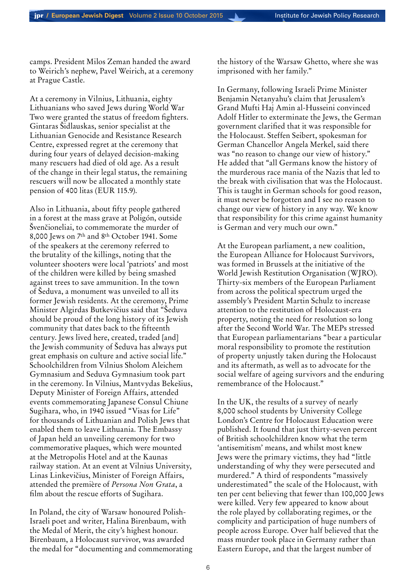camps. President Milos Zeman handed the award to Weirich's nephew, Pavel Weirich, at a ceremony at Prague Castle.

At a ceremony in Vilnius, Lithuania, eighty Lithuanians who saved Jews during World War Two were granted the status of freedom fighters. Gintaras Šidlauskas, senior specialist at the Lithuanian Genocide and Resistance Research Centre, expressed regret at the ceremony that during four years of delayed decision-making many rescuers had died of old age. As a result of the change in their legal status, the remaining rescuers will now be allocated a monthly state pension of 400 litas (EUR 115.9).

Also in Lithuania, about fifty people gathered in a forest at the mass grave at Poligón, outside Švenčioneliai, to commemorate the murder of 8,000 Jews on 7th and 8th October 1941. Some of the speakers at the ceremony referred to the brutality of the killings, noting that the volunteer shooters were local 'patriots' and most of the children were killed by being smashed against trees to save ammunition. In the town of Šeduva, a monument was unveiled to all its former Jewish residents. At the ceremony, Prime Minister Algirdas Butkevičius said that "Šeduva should be proud of the long history of its Jewish community that dates back to the fifteenth century. Jews lived here, created, traded [and] the Jewish community of Šeduva has always put great emphasis on culture and active social life." Schoolchildren from Vilnius Sholom Aleichem Gymnasium and Seduva Gymnasium took part in the ceremony. In Vilnius, Mantvydas Bekešius, Deputy Minister of Foreign Affairs, attended events commemorating Japanese Consul Chiune Sugihara, who, in 1940 issued "Visas for Life" for thousands of Lithuanian and Polish Jews that enabled them to leave Lithuania. The Embassy of Japan held an unveiling ceremony for two commemorative plaques, which were mounted at the Metropolis Hotel and at the Kaunas railway station. At an event at Vilnius University, Linas Linkevičius, Minister of Foreign Affairs, attended the première of *Persona Non Grata*, a film about the rescue efforts of Sugihara.

In Poland, the city of Warsaw honoured Polish-Israeli poet and writer, Halina Birenbaum, with the Medal of Merit, the city's highest honour. Birenbaum, a Holocaust survivor, was awarded the medal for "documenting and commemorating the history of the Warsaw Ghetto, where she was imprisoned with her family."

In Germany, following Israeli Prime Minister Benjamin Netanyahu's claim that Jerusalem's Grand Mufti Haj Amin al-Husseini convinced Adolf Hitler to exterminate the Jews, the German government clarified that it was responsible for the Holocaust. Steffen Seibert, spokesman for German Chancellor Angela Merkel, said there was "no reason to change our view of history." He added that "all Germans know the history of the murderous race mania of the Nazis that led to the break with civilisation that was the Holocaust. This is taught in German schools for good reason, it must never be forgotten and I see no reason to change our view of history in any way. We know that responsibility for this crime against humanity is German and very much our own."

At the European parliament, a new coalition, the European Alliance for Holocaust Survivors, was formed in Brussels at the initiative of the World Jewish Restitution Organisation (WJRO). Thirty-six members of the European Parliament from across the political spectrum urged the assembly's President Martin Schulz to increase attention to the restitution of Holocaust-era property, noting the need for resolution so long after the Second World War. The MEPs stressed that European parliamentarians "bear a particular moral responsibility to promote the restitution of property unjustly taken during the Holocaust and its aftermath, as well as to advocate for the social welfare of ageing survivors and the enduring remembrance of the Holocaust."

In the UK, the results of a survey of nearly 8,000 school students by University College London's Centre for Holocaust Education were published. It found that just thirty-seven percent of British schoolchildren know what the term 'antisemitism' means, and whilst most knew Jews were the primary victims, they had "little understanding of why they were persecuted and murdered." A third of respondents "massively underestimated" the scale of the Holocaust, with ten per cent believing that fewer than 100,000 Jews were killed. Very few appeared to know about the role played by collaborating regimes, or the complicity and participation of huge numbers of people across Europe. Over half believed that the mass murder took place in Germany rather than Eastern Europe, and that the largest number of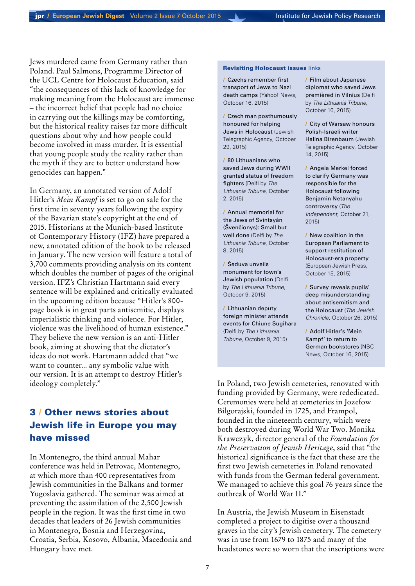Jews murdered came from Germany rather than Poland. Paul Salmons, Programme Director of the UCL Centre for Holocaust Education, said "the consequences of this lack of knowledge for making meaning from the Holocaust are immense – the incorrect belief that people had no choice in carrying out the killings may be comforting, but the historical reality raises far more difficult questions about why and how people could become involved in mass murder. It is essential that young people study the reality rather than the myth if they are to better understand how genocides can happen."

In Germany, an annotated version of Adolf Hitler's *Mein Kampf* is set to go on sale for the first time in seventy years following the expiry of the Bavarian state's copyright at the end of 2015. Historians at the Munich-based Institute of Contemporary History (IFZ) have prepared a new, annotated edition of the book to be released in January. The new version will feature a total of 3,700 comments providing analysis on its content which doubles the number of pages of the original version. IFZ's Christian Hartmann said every sentence will be explained and critically evaluated in the upcoming edition because "Hitler's 800 page book is in great parts antisemitic, displays imperialistic thinking and violence. For Hitler, violence was the livelihood of human existence." They believe the new version is an anti-Hitler book, aiming at showing that the dictator's ideas do not work. Hartmann added that "we want to counter... any symbolic value with our version. It is an attempt to destroy Hitler's ideology completely."

# 3 / Other news stories about Jewish life in Europe you may have missed

In Montenegro, the third annual Mahar conference was held in Petrovac, Montenegro, at which more than 400 representatives from Jewish communities in the Balkans and former Yugoslavia gathered. The seminar was aimed at preventing the assimilation of the 2,500 Jewish people in the region. It was the first time in two decades that leaders of 26 Jewish communities in Montenegro, Bosnia and Herzegovina, Croatia, Serbia, Kosovo, Albania, Macedonia and Hungary have met.

### **Revisiting Holocaust issues links**

/ [Czechs remember first](http://news.yahoo.com/czechs-remember-1st-transport-jews-nazi-death-camps-162856263.html)  [transport of Jews to Nazi](http://news.yahoo.com/czechs-remember-1st-transport-jews-nazi-death-camps-162856263.html)  [death camps](http://news.yahoo.com/czechs-remember-1st-transport-jews-nazi-death-camps-162856263.html) (Yahoo! News, October 16, 2015)

/ [Czech man posthumously](http://www.jta.org/2015/10/29/news-opinion/world/italian-man-posthumously-awarded-czech-honor-for-helping-jews-in-holocaust) [honoured for helping](http://www.jta.org/2015/10/29/news-opinion/world/italian-man-posthumously-awarded-czech-honor-for-helping-jews-in-holocaust)  [Jews in Holocaust](http://www.jta.org/2015/10/29/news-opinion/world/italian-man-posthumously-awarded-czech-honor-for-helping-jews-in-holocaust) (Jewish Telegraphic Agency, October 29, 2015)

/ 80 Lithuanians who saved Jews during WWII granted status of freedom fighters (Delfi by *The Lithuania Tribune*, October 2, 2015)

/ [Annual memorial for](http://en.delfi.lt/lithuania/society/annual-memorial-for-the-jews-of-svintsyan-svencionys-small-but-well-done.d?id=66061010)  [the Jews of Svintsyán](http://en.delfi.lt/lithuania/society/annual-memorial-for-the-jews-of-svintsyan-svencionys-small-but-well-done.d?id=66061010)  (Švenčionys): Small but [well done](http://en.delfi.lt/lithuania/society/annual-memorial-for-the-jews-of-svintsyan-svencionys-small-but-well-done.d?id=66061010) (Delfi by *The Lithuania Tribune*, October 8, 2015)

/ [Šeduva unveils](http://en.delfi.lt/lithuania/society/seduva-unveils-monument-for-towns-jewish-population.d?id=69233916)  [monument for town's](http://en.delfi.lt/lithuania/society/seduva-unveils-monument-for-towns-jewish-population.d?id=69233916)  [Jewish population](http://en.delfi.lt/lithuania/society/seduva-unveils-monument-for-towns-jewish-population.d?id=69233916) (Delfi by *The Lithuania Tribune*, October 9, 2015)

/ Lithuanian deputy foreign minister attends events for Chiune Sugihara (Delfi by *The Lithuania Tribune*, October 9, 2015)

/ Film about Japanese diplomat who saved Jews premièred in Vilnius (Delfi by *The Lithuania Tribune*, October 16, 2015)

/ [City of Warsaw honours](http://www.jta.org/2015/10/14/news-opinion/world/city-of-warsaw-honors-polish-israeli-writer-halina-birenbaum)  [Polish-Israeli writer](http://www.jta.org/2015/10/14/news-opinion/world/city-of-warsaw-honors-polish-israeli-writer-halina-birenbaum)  [Halina Birenbaum](http://www.jta.org/2015/10/14/news-opinion/world/city-of-warsaw-honors-polish-israeli-writer-halina-birenbaum) (Jewish Telegraphic Agency, October 14, 2015)

/ Angela Merkel forced to clarify Germany was responsible for the Holocaust following Benjamin Netanyahu controversy (*The Independent*, October 21, 2015)

/ [New coalition in the](http://ejpress.org/index.php?option=com_content&view=article&id=54458&Itemid=6)  [European Parliament to](http://ejpress.org/index.php?option=com_content&view=article&id=54458&Itemid=6)  [support restitution of](http://ejpress.org/index.php?option=com_content&view=article&id=54458&Itemid=6)  [Holocaust-era property](http://ejpress.org/index.php?option=com_content&view=article&id=54458&Itemid=6) (European Jewish Press, October 15, 2015)

/ [Survey reveals pupils'](http://www.thejc.com/news/uk-news/148118/survey-reveals-pupils%E2%80%99-deep-misunderstanding-about-antisemitism-and-holocaust)  [deep misunderstanding](http://www.thejc.com/news/uk-news/148118/survey-reveals-pupils%E2%80%99-deep-misunderstanding-about-antisemitism-and-holocaust)  [about antisemitism and](http://www.thejc.com/news/uk-news/148118/survey-reveals-pupils%E2%80%99-deep-misunderstanding-about-antisemitism-and-holocaust)  [the Holocaust](http://www.thejc.com/news/uk-news/148118/survey-reveals-pupils%E2%80%99-deep-misunderstanding-about-antisemitism-and-holocaust) (*The Jewish Chronicle*, October 26, 2015)

/ [Adolf Hitler's 'Mein](http://www.nbcnews.com/news/world/adolf-hitlers-mein-kampf-return-german-bookstores-n445031)  [Kampf' to return to](http://www.nbcnews.com/news/world/adolf-hitlers-mein-kampf-return-german-bookstores-n445031)  [German bookstores](http://www.nbcnews.com/news/world/adolf-hitlers-mein-kampf-return-german-bookstores-n445031) (NBC News, October 16, 2015)

In Poland, two Jewish cemeteries, renovated with funding provided by Germany, were rededicated. Ceremonies were held at cemeteries in Jozefow Bilgorajski, founded in 1725, and Frampol, founded in the nineteenth century, which were both destroyed during World War Two. Monika Krawczyk, director general of the *Foundation for the Preservation of Jewish Heritage*, said that "the historical significance is the fact that these are the first two Jewish cemeteries in Poland renovated with funds from the German federal government. We managed to achieve this goal 76 years since the outbreak of World War II."

In Austria, the Jewish Museum in Eisenstadt completed a project to digitise over a thousand graves in the city's Jewish cemetery. The cemetery was in use from 1679 to 1875 and many of the headstones were so worn that the inscriptions were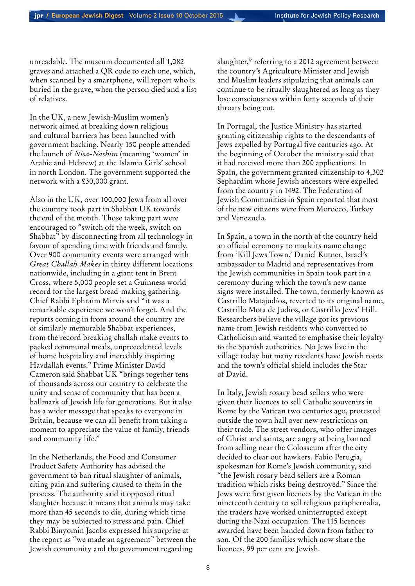unreadable. The museum documented all 1,082 graves and attached a QR code to each one, which, when scanned by a smartphone, will report who is buried in the grave, when the person died and a list of relatives.

In the UK, a new Jewish-Muslim women's network aimed at breaking down religious and cultural barriers has been launched with government backing. Nearly 150 people attended the launch of *Nisa-Nashim* (meaning 'women' in Arabic and Hebrew) at the Islamia Girls' school in north London. The government supported the network with a £30,000 grant.

Also in the UK, over 100,000 Jews from all over the country took part in Shabbat UK towards the end of the month. Those taking part were encouraged to "switch off the week, switch on Shabbat" by disconnecting from all technology in favour of spending time with friends and family. Over 900 community events were arranged with *Great Challah Makes* in thirty different locations nationwide, including in a giant tent in Brent Cross, where 5,000 people set a Guinness world record for the largest bread-making gathering. Chief Rabbi Ephraim Mirvis said "it was a remarkable experience we won't forget. And the reports coming in from around the country are of similarly memorable Shabbat experiences, from the record breaking challah make events to packed communal meals, unprecedented levels of home hospitality and incredibly inspiring Havdallah events." Prime Minister David Cameron said Shabbat UK "brings together tens of thousands across our country to celebrate the unity and sense of community that has been a hallmark of Jewish life for generations. But it also has a wider message that speaks to everyone in Britain, because we can all benefit from taking a moment to appreciate the value of family, friends and community life."

In the Netherlands, the Food and Consumer Product Safety Authority has advised the government to ban ritual slaughter of animals, citing pain and suffering caused to them in the process. The authority said it opposed ritual slaughter because it means that animals may take more than 45 seconds to die, during which time they may be subjected to stress and pain. Chief Rabbi Binyomin Jacobs expressed his surprise at the report as "we made an agreement" between the Jewish community and the government regarding

slaughter," referring to a 2012 agreement between the country's Agriculture Minister and Jewish and Muslim leaders stipulating that animals can continue to be ritually slaughtered as long as they lose consciousness within forty seconds of their throats being cut.

In Portugal, the Justice Ministry has started granting citizenship rights to the descendants of Jews expelled by Portugal five centuries ago. At the beginning of October the ministry said that it had received more than 200 applications. In Spain, the government granted citizenship to 4,302 Sephardim whose Jewish ancestors were expelled from the country in 1492. The Federation of Jewish Communities in Spain reported that most of the new citizens were from Morocco, Turkey and Venezuela.

In Spain, a town in the north of the country held an official ceremony to mark its name change from 'Kill Jews Town.' Daniel Kutner, Israel's ambassador to Madrid and representatives from the Jewish communities in Spain took part in a ceremony during which the town's new name signs were installed. The town, formerly known as Castrillo Matajudíos, reverted to its original name, Castrillo Mota de Judios, or Castrillo Jews' Hill. Researchers believe the village got its previous name from Jewish residents who converted to Catholicism and wanted to emphasise their loyalty to the Spanish authorities. No Jews live in the village today but many residents have Jewish roots and the town's official shield includes the Star of David.

In Italy, Jewish rosary bead sellers who were given their licences to sell Catholic souvenirs in Rome by the Vatican two centuries ago, protested outside the town hall over new restrictions on their trade. The street vendors, who offer images of Christ and saints, are angry at being banned from selling near the Colosseum after the city decided to clear out hawkers. Fabio Perugia, spokesman for Rome's Jewish community, said "the Jewish rosary bead sellers are a Roman tradition which risks being destroyed." Since the Jews were first given licences by the Vatican in the nineteenth century to sell religious paraphernalia, the traders have worked uninterrupted except during the Nazi occupation. The 115 licences awarded have been handed down from father to son. Of the 200 families which now share the licences, 99 per cent are Jewish.